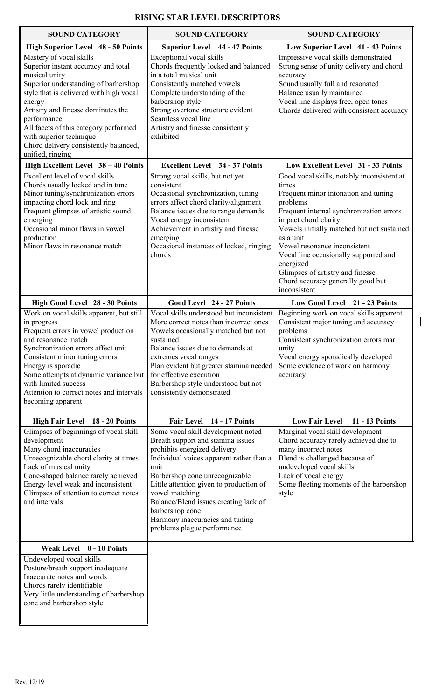| <b>SOUND CATEGORY</b>                                                                                                                                                                                                                                                                                                                                              | <b>SOUND CATEGORY</b>                                                                                                                                                                                                                                                                                                                                                                    | <b>SOUND CATEGORY</b>                                                                                                                                                                                                                                                                                                                                                                                                 |
|--------------------------------------------------------------------------------------------------------------------------------------------------------------------------------------------------------------------------------------------------------------------------------------------------------------------------------------------------------------------|------------------------------------------------------------------------------------------------------------------------------------------------------------------------------------------------------------------------------------------------------------------------------------------------------------------------------------------------------------------------------------------|-----------------------------------------------------------------------------------------------------------------------------------------------------------------------------------------------------------------------------------------------------------------------------------------------------------------------------------------------------------------------------------------------------------------------|
| <b>High Superior Level 48 - 50 Points</b>                                                                                                                                                                                                                                                                                                                          | <b>Superior Level 44 - 47 Points</b>                                                                                                                                                                                                                                                                                                                                                     | Low Superior Level 41 - 43 Points                                                                                                                                                                                                                                                                                                                                                                                     |
| Mastery of vocal skills<br>Superior instant accuracy and total<br>musical unity<br>Superior understanding of barbershop<br>style that is delivered with high vocal<br>energy<br>Artistry and finesse dominates the<br>performance<br>All facets of this category performed<br>with superior technique<br>Chord delivery consistently balanced,<br>unified, ringing | Exceptional vocal skills<br>Chords frequently locked and balanced<br>in a total musical unit<br>Consistently matched vowels<br>Complete understanding of the<br>barbershop style<br>Strong overtone structure evident<br>Seamless vocal line<br>Artistry and finesse consistently<br>exhibited                                                                                           | Impressive vocal skills demonstrated<br>Strong sense of unity delivery and chord<br>accuracy<br>Sound usually full and resonated<br>Balance usually maintained<br>Vocal line displays free, open tones<br>Chords delivered with consistent accuracy                                                                                                                                                                   |
| High Excellent Level 38 - 40 Points                                                                                                                                                                                                                                                                                                                                | <b>Excellent Level</b> 34 - 37 Points                                                                                                                                                                                                                                                                                                                                                    | Low Excellent Level 31 - 33 Points                                                                                                                                                                                                                                                                                                                                                                                    |
| Excellent level of vocal skills<br>Chords usually locked and in tune<br>Minor tuning/synchronization errors<br>impacting chord lock and ring<br>Frequent glimpses of artistic sound<br>emerging<br>Occasional minor flaws in vowel<br>production<br>Minor flaws in resonance match                                                                                 | Strong vocal skills, but not yet<br>consistent<br>Occasional synchronization, tuning<br>errors affect chord clarity/alignment<br>Balance issues due to range demands<br>Vocal energy inconsistent<br>Achievement in artistry and finesse<br>emerging<br>Occasional instances of locked, ringing<br>chords                                                                                | Good vocal skills, notably inconsistent at<br>times<br>Frequent minor intonation and tuning<br>problems<br>Frequent internal synchronization errors<br>impact chord clarity<br>Vowels initially matched but not sustained<br>as a unit<br>Vowel resonance inconsistent<br>Vocal line occasionally supported and<br>energized<br>Glimpses of artistry and finesse<br>Chord accuracy generally good but<br>inconsistent |
| High Good Level 28 - 30 Points                                                                                                                                                                                                                                                                                                                                     | Good Level 24 - 27 Points                                                                                                                                                                                                                                                                                                                                                                | Low Good Level 21 - 23 Points                                                                                                                                                                                                                                                                                                                                                                                         |
| Work on vocal skills apparent, but still<br>in progress<br>Frequent errors in vowel production<br>and resonance match<br>Synchronization errors affect unit<br>Consistent minor tuning errors<br>Energy is sporadic<br>Some attempts at dynamic variance but<br>with limited success<br>Attention to correct notes and intervals<br>becoming apparent              | Vocal skills understood but inconsistent<br>More correct notes than incorrect ones<br>Vowels occasionally matched but not<br>sustained<br>Balance issues due to demands at<br>extremes vocal ranges<br>Plan evident but greater stamina needed<br>for effective execution<br>Barbershop style understood but not<br>consistently demonstrated                                            | Beginning work on vocal skills apparent<br>Consistent major tuning and accuracy<br>problems<br>Consistent synchronization errors mar<br>unity<br>Vocal energy sporadically developed<br>Some evidence of work on harmony<br>accuracy                                                                                                                                                                                  |
| High Fair Level 18 - 20 Points                                                                                                                                                                                                                                                                                                                                     | Fair Level 14 - 17 Points                                                                                                                                                                                                                                                                                                                                                                | <b>Low Fair Level</b><br>11 - 13 Points                                                                                                                                                                                                                                                                                                                                                                               |
| Glimpses of beginnings of vocal skill<br>development<br>Many chord inaccuracies<br>Unrecognizable chord clarity at times<br>Lack of musical unity<br>Cone-shaped balance rarely achieved<br>Energy level weak and inconsistent<br>Glimpses of attention to correct notes<br>and intervals                                                                          | Some vocal skill development noted<br>Breath support and stamina issues<br>prohibits energized delivery<br>Individual voices apparent rather than a<br>unit<br>Barbershop cone unrecognizable<br>Little attention given to production of<br>vowel matching<br>Balance/Blend issues creating lack of<br>barbershop cone<br>Harmony inaccuracies and tuning<br>problems plague performance | Marginal vocal skill development<br>Chord accuracy rarely achieved due to<br>many incorrect notes<br>Blend is challenged because of<br>undeveloped vocal skills<br>Lack of vocal energy<br>Some fleeting moments of the barbershop<br>style                                                                                                                                                                           |
| Weak Level 0 - 10 Points                                                                                                                                                                                                                                                                                                                                           |                                                                                                                                                                                                                                                                                                                                                                                          |                                                                                                                                                                                                                                                                                                                                                                                                                       |
| Undeveloped vocal skills<br>Posture/breath support inadequate<br>Inaccurate notes and words<br>Chords rarely identifiable<br>Very little understanding of barbershop<br>cone and barbershop style                                                                                                                                                                  |                                                                                                                                                                                                                                                                                                                                                                                          |                                                                                                                                                                                                                                                                                                                                                                                                                       |

 $\overline{\phantom{a}}$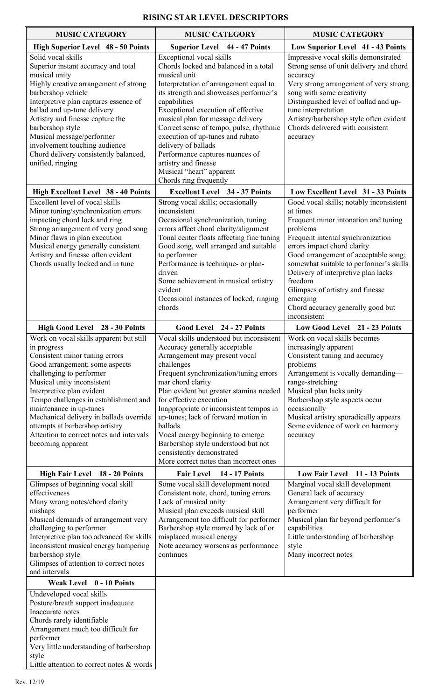| <b>MUSIC CATEGORY</b>                                                                                                                                                                                                                                                                                                                                                                                                                | <b>MUSIC CATEGORY</b>                                                                                                                                                                                                                                                                                                                                                                                                                                                                                        | <b>MUSIC CATEGORY</b>                                                                                                                                                                                                                                                                                                                                                                                                 |
|--------------------------------------------------------------------------------------------------------------------------------------------------------------------------------------------------------------------------------------------------------------------------------------------------------------------------------------------------------------------------------------------------------------------------------------|--------------------------------------------------------------------------------------------------------------------------------------------------------------------------------------------------------------------------------------------------------------------------------------------------------------------------------------------------------------------------------------------------------------------------------------------------------------------------------------------------------------|-----------------------------------------------------------------------------------------------------------------------------------------------------------------------------------------------------------------------------------------------------------------------------------------------------------------------------------------------------------------------------------------------------------------------|
| High Superior Level 48 - 50 Points                                                                                                                                                                                                                                                                                                                                                                                                   | <b>Superior Level 44 - 47 Points</b>                                                                                                                                                                                                                                                                                                                                                                                                                                                                         | Low Superior Level 41 - 43 Points                                                                                                                                                                                                                                                                                                                                                                                     |
| Solid vocal skills<br>Superior instant accuracy and total<br>musical unity<br>Highly creative arrangement of strong<br>barbershop vehicle<br>Interpretive plan captures essence of<br>ballad and up-tune delivery<br>Artistry and finesse capture the<br>barbershop style<br>Musical message/performer<br>involvement touching audience<br>Chord delivery consistently balanced,<br>unified, ringing                                 | Exceptional vocal skills<br>Chords locked and balanced in a total<br>musical unit<br>Interpretation of arrangement equal to<br>its strength and showcases performer's<br>capabilities<br>Exceptional execution of effective<br>musical plan for message delivery<br>Correct sense of tempo, pulse, rhythmic<br>execution of up-tunes and rubato<br>delivery of ballads<br>Performance captures nuances of<br>artistry and finesse<br>Musical "heart" apparent<br>Chords ring frequently                      | Impressive vocal skills demonstrated<br>Strong sense of unit delivery and chord<br>accuracy<br>Very strong arrangement of very strong<br>song with some creativity<br>Distinguished level of ballad and up-<br>tune interpretation<br>Artistry/barbershop style often evident<br>Chords delivered with consistent<br>accuracy                                                                                         |
| High Excellent Level 38 - 40 Points                                                                                                                                                                                                                                                                                                                                                                                                  | <b>Excellent Level</b> 34 - 37 Points                                                                                                                                                                                                                                                                                                                                                                                                                                                                        | Low Excellent Level 31 - 33 Points                                                                                                                                                                                                                                                                                                                                                                                    |
| Excellent level of vocal skills<br>Minor tuning/synchronization errors<br>impacting chord lock and ring<br>Strong arrangement of very good song<br>Minor flaws in plan execution<br>Musical energy generally consistent<br>Artistry and finesse often evident<br>Chords usually locked and in tune                                                                                                                                   | Strong vocal skills; occasionally<br>inconsistent<br>Occasional synchronization, tuning<br>errors affect chord clarity/alignment<br>Tonal center floats affecting fine tuning<br>Good song, well arranged and suitable<br>to performer<br>Performance is technique- or plan-<br>driven<br>Some achievement in musical artistry<br>evident<br>Occasional instances of locked, ringing<br>chords                                                                                                               | Good vocal skills; notably inconsistent<br>at times<br>Frequent minor intonation and tuning<br>problems<br>Frequent internal synchronization<br>errors impact chord clarity<br>Good arrangement of acceptable song;<br>somewhat suitable to performer's skills<br>Delivery of interpretive plan lacks<br>freedom<br>Glimpses of artistry and finesse<br>emerging<br>Chord accuracy generally good but<br>inconsistent |
| High Good Level 28 - 30 Points                                                                                                                                                                                                                                                                                                                                                                                                       | Good Level 24 - 27 Points                                                                                                                                                                                                                                                                                                                                                                                                                                                                                    | Low Good Level 21 - 23 Points                                                                                                                                                                                                                                                                                                                                                                                         |
| Work on vocal skills apparent but still<br>in progress<br>Consistent minor tuning errors<br>Good arrangement; some aspects<br>challenging to performer<br>Musical unity inconsistent<br>Interpretive plan evident<br>Tempo challenges in establishment and<br>maintenance in up-tunes<br>Mechanical delivery in ballads override<br>attempts at barbershop artistry<br>Attention to correct notes and intervals<br>becoming apparent | Vocal skills understood but inconsistent<br>Accuracy generally acceptable<br>Arrangement may present vocal<br>challenges<br>Frequent synchronization/tuning errors<br>mar chord clarity<br>Plan evident but greater stamina needed<br>for effective execution<br>Inappropriate or inconsistent tempos in<br>up-tunes; lack of forward motion in<br>ballads<br>Vocal energy beginning to emerge<br>Barbershop style understood but not<br>consistently demonstrated<br>More correct notes than incorrect ones | Work on vocal skills becomes<br>increasingly apparent<br>Consistent tuning and accuracy<br>problems<br>Arrangement is vocally demanding-<br>range-stretching<br>Musical plan lacks unity<br>Barbershop style aspects occur<br>occasionally<br>Musical artistry sporadically appears<br>Some evidence of work on harmony<br>accuracy                                                                                   |
| High Fair Level 18 - 20 Points<br>Glimpses of beginning vocal skill<br>effectiveness<br>Many wrong notes/chord clarity<br>mishaps<br>Musical demands of arrangement very<br>challenging to performer<br>Interpretive plan too advanced for skills<br>Inconsistent musical energy hampering<br>barbershop style<br>Glimpses of attention to correct notes<br>and intervals<br>Weak Level 0 - 10 Points                                | <b>Fair Level</b><br><b>14 - 17 Points</b><br>Some vocal skill development noted<br>Consistent note, chord, tuning errors<br>Lack of musical unity<br>Musical plan exceeds musical skill<br>Arrangement too difficult for performer<br>Barbershop style marred by lack of or<br>misplaced musical energy<br>Note accuracy worsens as performance<br>continues                                                                                                                                                | Low Fair Level 11 - 13 Points<br>Marginal vocal skill development<br>General lack of accuracy<br>Arrangement very difficult for<br>performer<br>Musical plan far beyond performer's<br>capabilities<br>Little understanding of barbershop<br>style<br>Many incorrect notes                                                                                                                                            |
| Undeveloped vocal skills<br>Posture/breath support inadequate<br>Inaccurate notes<br>Chords rarely identifiable<br>Arrangement much too difficult for<br>performer<br>Very little understanding of barbershop<br>style<br>Little attention to correct notes & words                                                                                                                                                                  |                                                                                                                                                                                                                                                                                                                                                                                                                                                                                                              |                                                                                                                                                                                                                                                                                                                                                                                                                       |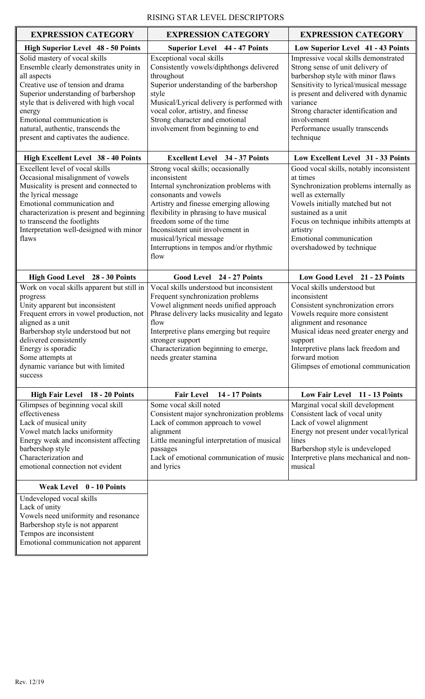| <b>EXPRESSION CATEGORY</b>                                                                                                                                                                                                                                                                                                           | <b>EXPRESSION CATEGORY</b>                                                                                                                                                                                                                                                                                                                              | <b>EXPRESSION CATEGORY</b>                                                                                                                                                                                                                                                                                        |
|--------------------------------------------------------------------------------------------------------------------------------------------------------------------------------------------------------------------------------------------------------------------------------------------------------------------------------------|---------------------------------------------------------------------------------------------------------------------------------------------------------------------------------------------------------------------------------------------------------------------------------------------------------------------------------------------------------|-------------------------------------------------------------------------------------------------------------------------------------------------------------------------------------------------------------------------------------------------------------------------------------------------------------------|
| High Superior Level 48 - 50 Points                                                                                                                                                                                                                                                                                                   | <b>Superior Level 44 - 47 Points</b>                                                                                                                                                                                                                                                                                                                    | Low Superior Level 41 - 43 Points                                                                                                                                                                                                                                                                                 |
| Solid mastery of vocal skills<br>Ensemble clearly demonstrates unity in<br>all aspects<br>Creative use of tension and drama<br>Superior understanding of barbershop<br>style that is delivered with high vocal<br>energy<br>Emotional communication is<br>natural, authentic, transcends the<br>present and captivates the audience. | Exceptional vocal skills<br>Consistently vowels/diphthongs delivered<br>throughout<br>Superior understanding of the barbershop<br>style<br>Musical/Lyrical delivery is performed with<br>vocal color, artistry, and finesse<br>Strong character and emotional<br>involvement from beginning to end                                                      | Impressive vocal skills demonstrated<br>Strong sense of unit delivery of<br>barbershop style with minor flaws<br>Sensitivity to lyrical/musical message<br>is present and delivered with dynamic<br>variance<br>Strong character identification and<br>involvement<br>Performance usually transcends<br>technique |
| <b>High Excellent Level 38 - 40 Points</b>                                                                                                                                                                                                                                                                                           | <b>Excellent Level</b> 34 - 37 Points                                                                                                                                                                                                                                                                                                                   | Low Excellent Level 31 - 33 Points                                                                                                                                                                                                                                                                                |
| Excellent level of vocal skills<br>Occasional misalignment of vowels<br>Musicality is present and connected to<br>the lyrical message<br>Emotional communication and<br>characterization is present and beginning<br>to transcend the footlights<br>Interpretation well-designed with minor<br>flaws                                 | Strong vocal skills; occasionally<br>inconsistent<br>Internal synchronization problems with<br>consonants and vowels<br>Artistry and finesse emerging allowing<br>flexibility in phrasing to have musical<br>freedom some of the time<br>Inconsistent unit involvement in<br>musical/lyrical message<br>Interruptions in tempos and/or rhythmic<br>flow | Good vocal skills, notably inconsistent<br>at times<br>Synchronization problems internally as<br>well as externally<br>Vowels initially matched but not<br>sustained as a unit<br>Focus on technique inhibits attempts at<br>artistry<br>Emotional communication<br>overshadowed by technique                     |
| High Good Level 28 - 30 Points                                                                                                                                                                                                                                                                                                       | Good Level 24 - 27 Points                                                                                                                                                                                                                                                                                                                               | Low Good Level 21 - 23 Points                                                                                                                                                                                                                                                                                     |
| Work on vocal skills apparent but still in<br>progress<br>Unity apparent but inconsistent<br>Frequent errors in vowel production, not<br>aligned as a unit<br>Barbershop style understood but not<br>delivered consistently<br>Energy is sporadic<br>Some attempts at<br>dynamic variance but with limited<br>success                | Vocal skills understood but inconsistent<br>Frequent synchronization problems<br>Vowel alignment needs unified approach<br>Phrase delivery lacks musicality and legato<br>flow<br>Interpretive plans emerging but require<br>stronger support<br>Characterization beginning to emerge,<br>needs greater stamina                                         | Vocal skills understood but<br>inconsistent<br>Consistent synchronization errors<br>Vowels require more consistent<br>alignment and resonance<br>Musical ideas need greater energy and<br>support<br>Interpretive plans lack freedom and<br>forward motion<br>Glimpses of emotional communication                 |
| High Fair Level 18 - 20 Points                                                                                                                                                                                                                                                                                                       | 14 - 17 Points<br><b>Fair Level</b>                                                                                                                                                                                                                                                                                                                     | Low Fair Level 11 - 13 Points                                                                                                                                                                                                                                                                                     |
| Glimpses of beginning vocal skill<br>effectiveness<br>Lack of musical unity<br>Vowel match lacks uniformity<br>Energy weak and inconsistent affecting<br>barbershop style<br>Characterization and<br>emotional connection not evident                                                                                                | Some vocal skill noted<br>Consistent major synchronization problems<br>Lack of common approach to vowel<br>alignment<br>Little meaningful interpretation of musical<br>passages<br>Lack of emotional communication of music<br>and lyrics                                                                                                               | Marginal vocal skill development<br>Consistent lack of vocal unity<br>Lack of vowel alignment<br>Energy not present under vocal/lyrical<br>lines<br>Barbershop style is undeveloped<br>Interpretive plans mechanical and non-<br>musical                                                                          |
| Weak Level 0 - 10 Points                                                                                                                                                                                                                                                                                                             |                                                                                                                                                                                                                                                                                                                                                         |                                                                                                                                                                                                                                                                                                                   |
| Undeveloped vocal skills<br>Lack of unity<br>Vowels need uniformity and resonance<br>Barbershop style is not apparent<br>Tempos are inconsistent<br>Emotional communication not apparent                                                                                                                                             |                                                                                                                                                                                                                                                                                                                                                         |                                                                                                                                                                                                                                                                                                                   |